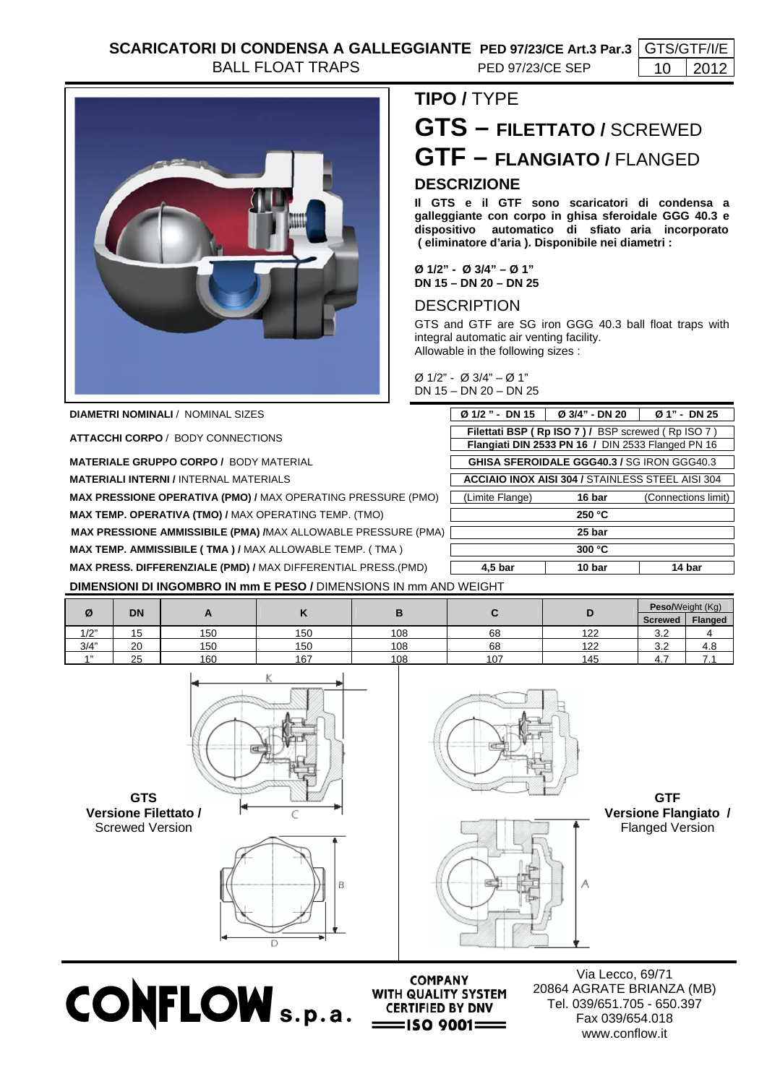

**DIAMETRI NOMINALI / NOMINAL SIZES** 

**ATTACCHI CORPO** / BODY CONNECTIONS

**MATERIALE GRUPPO CORPO / BODY MATERIAL** 

**MATERIALI INTERNI / INTERNAL MATERIALS** 

**MAX PRESSIONE OPERATIVA (PMO) / MAX OPERATING PRESSURE (PMO) MAX TEMP. OPERATIVA (TMO) / MAX OPERATING TEMP. (TMO)** 

**MAX PRESSIONE AMMISSIBILE (PMA) /MAX ALLOWABLE PRESSURE (PMA)** 

**MAX TEMP. AMMISSIBILE ( TMA ) / MAX ALLOWABLE TEMP. ( TMA )** 

**MAX PRESS. DIFFERENZIALE (PMD) / MAX DIFFERENTIAL PRESS.(PMD)** 

## **GTS – FILETTATO /** SCREWED **GTF – FLANGIATO /** FLANGED **DESCRIZIONE**

**Il GTS e il GTF sono scaricatori di condensa a galleggiante con corpo in ghisa sferoidale GGG 40.3 e dispositivo automatico di sfiato aria incorporato ( eliminatore d'aria ). Disponibile nei diametri :** 

**Ø 1/2" - Ø 3/4" – Ø 1" DN 15 – DN 20 – DN 25** 

## **DESCRIPTION**

**TIPO /** TYPE

GTS and GTF are SG iron GGG 40.3 ball float traps with integral automatic air venting facility. Allowable in the following sizes :

Ø 1/2" - Ø 3/4" – Ø 1" DN 15 – DN 20 – DN 25

| Ø 1/2" - DN 15                                                                                         | Ø 3/4" - DN 20 | Ø 1" - DN 25 |  |  |  |  |  |  |  |
|--------------------------------------------------------------------------------------------------------|----------------|--------------|--|--|--|--|--|--|--|
| Filettati BSP (Rp ISO 7) / BSP screwed (Rp ISO 7)<br>Flangiati DIN 2533 PN 16 / DIN 2533 Flanged PN 16 |                |              |  |  |  |  |  |  |  |
| <b>GHISA SFEROIDALE GGG40.3 / SG IRON GGG40.3</b>                                                      |                |              |  |  |  |  |  |  |  |
| <b>ACCIAIO INOX AISI 304 / STAINLESS STEEL AISI 304</b>                                                |                |              |  |  |  |  |  |  |  |
| (Limite Flange)                                                                                        | 16 bar         |              |  |  |  |  |  |  |  |
| 250 °C                                                                                                 |                |              |  |  |  |  |  |  |  |
| 25 bar                                                                                                 |                |              |  |  |  |  |  |  |  |
| 300 °C                                                                                                 |                |              |  |  |  |  |  |  |  |
| 4.5 bar                                                                                                | 10 bar         | 14 bar       |  |  |  |  |  |  |  |

**DIMENSIONI DI INGOMBRO IN mm E PESO /** DIMENSIONS IN mm AND WEIGHT

| Ø    | DN                       |     |     |     |     | ш   | Peso/Weight (Kg)     |         |
|------|--------------------------|-----|-----|-----|-----|-----|----------------------|---------|
|      |                          |     | . . |     |     |     | <b>Screwed</b>       | Flanged |
| 1/2" | $\overline{ }$<br>∽<br>J | 150 | 150 | 108 | 68  | 122 | $\sim$ $\sim$<br>J.Z |         |
| 3/4" | 20                       | 150 | 150 | 108 | 68  | 122 | $\sim$ $\sim$<br>J.Z | 4.8     |
| 4.33 | 25                       | 160 | 167 | 108 | 107 | 145 | т.                   |         |







CONFLOW S.p.a. CERTIFIED BY DNV

Via Lecco, 69/71 20864 AGRATE BRIANZA (MB) Tel. 039/651.705 - 650.397 Fax 039/654.018 www.conflow.it